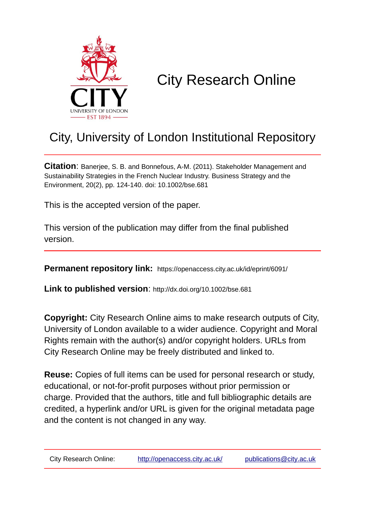

# City Research Online

## City, University of London Institutional Repository

**Citation**: Banerjee, S. B. and Bonnefous, A-M. (2011). Stakeholder Management and Sustainability Strategies in the French Nuclear Industry. Business Strategy and the Environment, 20(2), pp. 124-140. doi: 10.1002/bse.681

This is the accepted version of the paper.

This version of the publication may differ from the final published version.

**Permanent repository link:** https://openaccess.city.ac.uk/id/eprint/6091/

**Link to published version**: http://dx.doi.org/10.1002/bse.681

**Copyright:** City Research Online aims to make research outputs of City, University of London available to a wider audience. Copyright and Moral Rights remain with the author(s) and/or copyright holders. URLs from City Research Online may be freely distributed and linked to.

**Reuse:** Copies of full items can be used for personal research or study, educational, or not-for-profit purposes without prior permission or charge. Provided that the authors, title and full bibliographic details are credited, a hyperlink and/or URL is given for the original metadata page and the content is not changed in any way.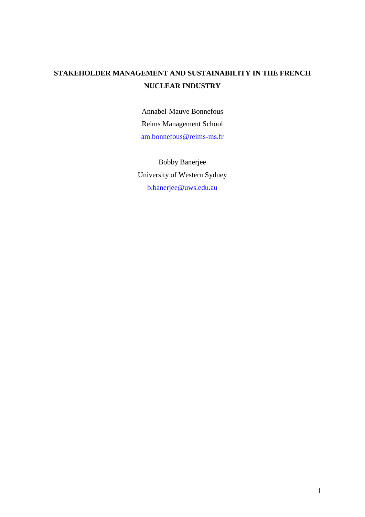### **STAKEHOLDER MANAGEMENT AND SUSTAINABILITY IN THE FRENCH NUCLEAR INDUSTRY**

Annabel-Mauve Bonnefous Reims Management School [am.bonnefous@reims-ms.fr](mailto:am.bonnefous@reims-ms.fr)

Bobby Banerjee University of Western Sydney [b.banerjee@uws.edu.au](mailto:b.banerjee@uws.edu.au)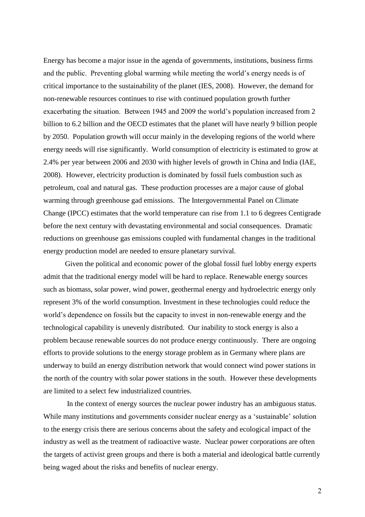Energy has become a major issue in the agenda of governments, institutions, business firms and the public. Preventing global warming while meeting the world's energy needs is of critical importance to the sustainability of the planet (IES, 2008). However, the demand for non-renewable resources continues to rise with continued population growth further exacerbating the situation. Between 1945 and 2009 the world's population increased from 2 billion to 6.2 billion and the OECD estimates that the planet will have nearly 9 billion people by 2050. Population growth will occur mainly in the developing regions of the world where energy needs will rise significantly. World consumption of electricity is estimated to grow at 2.4% per year between 2006 and 2030 with higher levels of growth in China and India (IAE, 2008). However, electricity production is dominated by fossil fuels combustion such as petroleum, coal and natural gas. These production processes are a major cause of global warming through greenhouse gad emissions. The Intergovernmental Panel on Climate Change (IPCC) estimates that the world temperature can rise from 1.1 to 6 degrees Centigrade before the next century with devastating environmental and social consequences. Dramatic reductions on greenhouse gas emissions coupled with fundamental changes in the traditional energy production model are needed to ensure planetary survival.

Given the political and economic power of the global fossil fuel lobby energy experts admit that the traditional energy model will be hard to replace. Renewable energy sources such as biomass, solar power, wind power, geothermal energy and hydroelectric energy only represent 3% of the world consumption. Investment in these technologies could reduce the world's dependence on fossils but the capacity to invest in non-renewable energy and the technological capability is unevenly distributed. Our inability to stock energy is also a problem because renewable sources do not produce energy continuously. There are ongoing efforts to provide solutions to the energy storage problem as in Germany where plans are underway to build an energy distribution network that would connect wind power stations in the north of the country with solar power stations in the south. However these developments are limited to a select few industrialized countries.

In the context of energy sources the nuclear power industry has an ambiguous status. While many institutions and governments consider nuclear energy as a 'sustainable' solution to the energy crisis there are serious concerns about the safety and ecological impact of the industry as well as the treatment of radioactive waste. Nuclear power corporations are often the targets of activist green groups and there is both a material and ideological battle currently being waged about the risks and benefits of nuclear energy.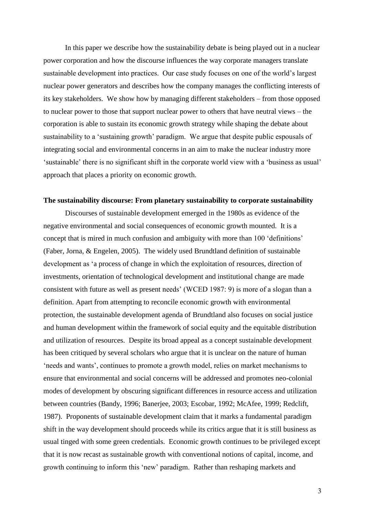In this paper we describe how the sustainability debate is being played out in a nuclear power corporation and how the discourse influences the way corporate managers translate sustainable development into practices. Our case study focuses on one of the world's largest nuclear power generators and describes how the company manages the conflicting interests of its key stakeholders. We show how by managing different stakeholders – from those opposed to nuclear power to those that support nuclear power to others that have neutral views – the corporation is able to sustain its economic growth strategy while shaping the debate about sustainability to a 'sustaining growth' paradigm. We argue that despite public espousals of integrating social and environmental concerns in an aim to make the nuclear industry more 'sustainable' there is no significant shift in the corporate world view with a 'business as usual' approach that places a priority on economic growth.

### **The sustainability discourse: From planetary sustainability to corporate sustainability**

Discourses of sustainable development emerged in the 1980s as evidence of the negative environmental and social consequences of economic growth mounted. It is a concept that is mired in much confusion and ambiguity with more than 100 'definitions' (Faber, Jorna, & Engelen, 2005). The widely used Brundtland definition of sustainable development as 'a process of change in which the exploitation of resources, direction of investments, orientation of technological development and institutional change are made consistent with future as well as present needs' (WCED 1987: 9) is more of a slogan than a definition. Apart from attempting to reconcile economic growth with environmental protection, the sustainable development agenda of Brundtland also focuses on social justice and human development within the framework of social equity and the equitable distribution and utilization of resources. Despite its broad appeal as a concept sustainable development has been critiqued by several scholars who argue that it is unclear on the nature of human 'needs and wants', continues to promote a growth model, relies on market mechanisms to ensure that environmental and social concerns will be addressed and promotes neo-colonial modes of development by obscuring significant differences in resource access and utilization between countries (Bandy, 1996; Banerjee, 2003; Escobar, 1992; McAfee, 1999; Redclift, 1987). Proponents of sustainable development claim that it marks a fundamental paradigm shift in the way development should proceeds while its critics argue that it is still business as usual tinged with some green credentials. Economic growth continues to be privileged except that it is now recast as sustainable growth with conventional notions of capital, income, and growth continuing to inform this 'new' paradigm. Rather than reshaping markets and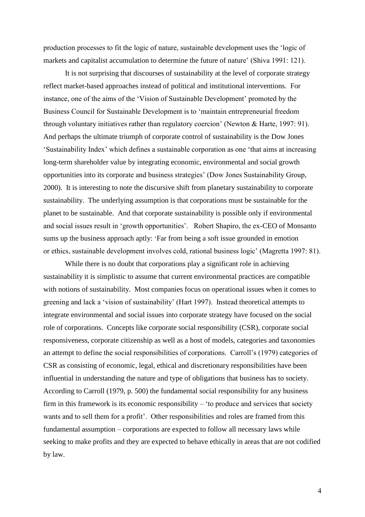production processes to fit the logic of nature, sustainable development uses the 'logic of markets and capitalist accumulation to determine the future of nature' (Shiva 1991: 121).

It is not surprising that discourses of sustainability at the level of corporate strategy reflect market-based approaches instead of political and institutional interventions. For instance, one of the aims of the 'Vision of Sustainable Development' promoted by the Business Council for Sustainable Development is to 'maintain entrepreneurial freedom through voluntary initiatives rather than regulatory coercion' (Newton & Harte, 1997: 91). And perhaps the ultimate triumph of corporate control of sustainability is the Dow Jones 'Sustainability Index' which defines a sustainable corporation as one 'that aims at increasing long-term shareholder value by integrating economic, environmental and social growth opportunities into its corporate and business strategies' (Dow Jones Sustainability Group, 2000). It is interesting to note the discursive shift from planetary sustainability to corporate sustainability. The underlying assumption is that corporations must be sustainable for the planet to be sustainable. And that corporate sustainability is possible only if environmental and social issues result in 'growth opportunities'. Robert Shapiro, the ex-CEO of Monsanto sums up the business approach aptly: 'Far from being a soft issue grounded in emotion or ethics, sustainable development involves cold, rational business logic' (Magretta 1997: 81).

While there is no doubt that corporations play a significant role in achieving sustainability it is simplistic to assume that current environmental practices are compatible with notions of sustainability. Most companies focus on operational issues when it comes to greening and lack a 'vision of sustainability' (Hart 1997). Instead theoretical attempts to integrate environmental and social issues into corporate strategy have focused on the social role of corporations. Concepts like corporate social responsibility (CSR), corporate social responsiveness, corporate citizenship as well as a host of models, categories and taxonomies an attempt to define the social responsibilities of corporations. Carroll's (1979) categories of CSR as consisting of economic, legal, ethical and discretionary responsibilities have been influential in understanding the nature and type of obligations that business has to society. According to Carroll (1979, p. 500) the fundamental social responsibility for any business firm in this framework is its economic responsibility – 'to produce and services that society wants and to sell them for a profit'. Other responsibilities and roles are framed from this fundamental assumption – corporations are expected to follow all necessary laws while seeking to make profits and they are expected to behave ethically in areas that are not codified by law.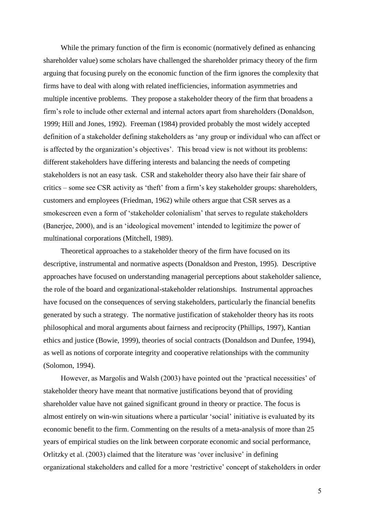While the primary function of the firm is economic (normatively defined as enhancing shareholder value) some scholars have challenged the shareholder primacy theory of the firm arguing that focusing purely on the economic function of the firm ignores the complexity that firms have to deal with along with related inefficiencies, information asymmetries and multiple incentive problems. They propose a stakeholder theory of the firm that broadens a firm's role to include other external and internal actors apart from shareholders (Donaldson, 1999; Hill and Jones, 1992). Freeman (1984) provided probably the most widely accepted definition of a stakeholder defining stakeholders as 'any group or individual who can affect or is affected by the organization's objectives'. This broad view is not without its problems: different stakeholders have differing interests and balancing the needs of competing stakeholders is not an easy task. CSR and stakeholder theory also have their fair share of critics – some see CSR activity as 'theft' from a firm's key stakeholder groups: shareholders, customers and employees (Friedman, 1962) while others argue that CSR serves as a smokescreen even a form of 'stakeholder colonialism' that serves to regulate stakeholders (Banerjee, 2000), and is an 'ideological movement' intended to legitimize the power of multinational corporations (Mitchell, 1989).

Theoretical approaches to a stakeholder theory of the firm have focused on its descriptive, instrumental and normative aspects (Donaldson and Preston, 1995). Descriptive approaches have focused on understanding managerial perceptions about stakeholder salience, the role of the board and organizational-stakeholder relationships. Instrumental approaches have focused on the consequences of serving stakeholders, particularly the financial benefits generated by such a strategy. The normative justification of stakeholder theory has its roots philosophical and moral arguments about fairness and reciprocity (Phillips, 1997), Kantian ethics and justice (Bowie, 1999), theories of social contracts (Donaldson and Dunfee, 1994), as well as notions of corporate integrity and cooperative relationships with the community (Solomon, 1994).

However, as Margolis and Walsh (2003) have pointed out the 'practical necessities' of stakeholder theory have meant that normative justifications beyond that of providing shareholder value have not gained significant ground in theory or practice. The focus is almost entirely on win-win situations where a particular 'social' initiative is evaluated by its economic benefit to the firm. Commenting on the results of a meta-analysis of more than 25 years of empirical studies on the link between corporate economic and social performance, Orlitzky et al. (2003) claimed that the literature was 'over inclusive' in defining organizational stakeholders and called for a more 'restrictive' concept of stakeholders in order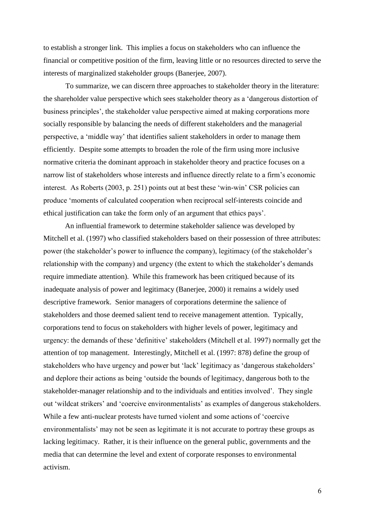to establish a stronger link. This implies a focus on stakeholders who can influence the financial or competitive position of the firm, leaving little or no resources directed to serve the interests of marginalized stakeholder groups (Banerjee, 2007).

To summarize, we can discern three approaches to stakeholder theory in the literature: the shareholder value perspective which sees stakeholder theory as a 'dangerous distortion of business principles', the stakeholder value perspective aimed at making corporations more socially responsible by balancing the needs of different stakeholders and the managerial perspective, a 'middle way' that identifies salient stakeholders in order to manage them efficiently. Despite some attempts to broaden the role of the firm using more inclusive normative criteria the dominant approach in stakeholder theory and practice focuses on a narrow list of stakeholders whose interests and influence directly relate to a firm's economic interest. As Roberts (2003, p. 251) points out at best these 'win-win' CSR policies can produce 'moments of calculated cooperation when reciprocal self-interests coincide and ethical justification can take the form only of an argument that ethics pays'.

An influential framework to determine stakeholder salience was developed by Mitchell et al. (1997) who classified stakeholders based on their possession of three attributes: power (the stakeholder's power to influence the company), legitimacy (of the stakeholder's relationship with the company) and urgency (the extent to which the stakeholder's demands require immediate attention). While this framework has been critiqued because of its inadequate analysis of power and legitimacy (Banerjee, 2000) it remains a widely used descriptive framework. Senior managers of corporations determine the salience of stakeholders and those deemed salient tend to receive management attention. Typically, corporations tend to focus on stakeholders with higher levels of power, legitimacy and urgency: the demands of these 'definitive' stakeholders (Mitchell et al. 1997) normally get the attention of top management. Interestingly, Mitchell et al. (1997: 878) define the group of stakeholders who have urgency and power but 'lack' legitimacy as 'dangerous stakeholders' and deplore their actions as being 'outside the bounds of legitimacy, dangerous both to the stakeholder-manager relationship and to the individuals and entities involved'. They single out 'wildcat strikers' and 'coercive environmentalists' as examples of dangerous stakeholders. While a few anti-nuclear protests have turned violent and some actions of 'coercive environmentalists' may not be seen as legitimate it is not accurate to portray these groups as lacking legitimacy. Rather, it is their influence on the general public, governments and the media that can determine the level and extent of corporate responses to environmental activism.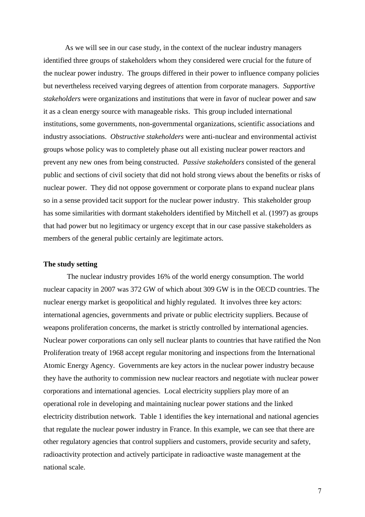As we will see in our case study, in the context of the nuclear industry managers identified three groups of stakeholders whom they considered were crucial for the future of the nuclear power industry. The groups differed in their power to influence company policies but nevertheless received varying degrees of attention from corporate managers. *Supportive stakeholders* were organizations and institutions that were in favor of nuclear power and saw it as a clean energy source with manageable risks. This group included international institutions, some governments, non-governmental organizations, scientific associations and industry associations. *Obstructive stakeholders* were anti-nuclear and environmental activist groups whose policy was to completely phase out all existing nuclear power reactors and prevent any new ones from being constructed. *Passive stakeholders* consisted of the general public and sections of civil society that did not hold strong views about the benefits or risks of nuclear power. They did not oppose government or corporate plans to expand nuclear plans so in a sense provided tacit support for the nuclear power industry. This stakeholder group has some similarities with dormant stakeholders identified by Mitchell et al. (1997) as groups that had power but no legitimacy or urgency except that in our case passive stakeholders as members of the general public certainly are legitimate actors.

### **The study setting**

The nuclear industry provides 16% of the world energy consumption. The world nuclear capacity in 2007 was 372 GW of which about 309 GW is in the OECD countries. The nuclear energy market is geopolitical and highly regulated. It involves three key actors: international agencies, governments and private or public electricity suppliers. Because of weapons proliferation concerns, the market is strictly controlled by international agencies. Nuclear power corporations can only sell nuclear plants to countries that have ratified the Non Proliferation treaty of 1968 accept regular monitoring and inspections from the International Atomic Energy Agency. Governments are key actors in the nuclear power industry because they have the authority to commission new nuclear reactors and negotiate with nuclear power corporations and international agencies. Local electricity suppliers play more of an operational role in developing and maintaining nuclear power stations and the linked electricity distribution network. Table 1 identifies the key international and national agencies that regulate the nuclear power industry in France. In this example, we can see that there are other regulatory agencies that control suppliers and customers, provide security and safety, radioactivity protection and actively participate in radioactive waste management at the national scale.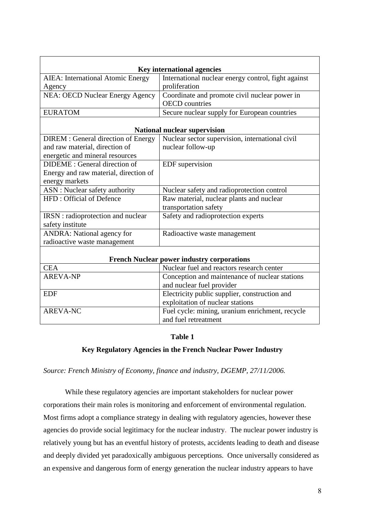| <b>AIEA: International Atomic Energy</b>   | <b>Key international agencies</b><br>International nuclear energy control, fight against |  |  |  |
|--------------------------------------------|------------------------------------------------------------------------------------------|--|--|--|
| Agency                                     | proliferation                                                                            |  |  |  |
| <b>NEA: OECD Nuclear Energy Agency</b>     | Coordinate and promote civil nuclear power in                                            |  |  |  |
|                                            | <b>OECD</b> countries                                                                    |  |  |  |
| <b>EURATOM</b>                             | Secure nuclear supply for European countries                                             |  |  |  |
|                                            |                                                                                          |  |  |  |
|                                            | <b>National nuclear supervision</b>                                                      |  |  |  |
| <b>DIREM</b> : General direction of Energy | Nuclear sector supervision, international civil                                          |  |  |  |
| and raw material, direction of             | nuclear follow-up                                                                        |  |  |  |
| energetic and mineral resources            |                                                                                          |  |  |  |
| DIDEME : General direction of              | EDF supervision                                                                          |  |  |  |
| Energy and raw material, direction of      |                                                                                          |  |  |  |
| energy markets                             |                                                                                          |  |  |  |
| ASN : Nuclear safety authority             | Nuclear safety and radioprotection control                                               |  |  |  |
| HFD: Official of Defence                   | Raw material, nuclear plants and nuclear                                                 |  |  |  |
|                                            | transportation safety                                                                    |  |  |  |
| IRSN: radioprotection and nuclear          | Safety and radioprotection experts                                                       |  |  |  |
| safety institute                           |                                                                                          |  |  |  |
| <b>ANDRA:</b> National agency for          | Radioactive waste management                                                             |  |  |  |
| radioactive waste management               |                                                                                          |  |  |  |
|                                            |                                                                                          |  |  |  |
|                                            | <b>French Nuclear power industry corporations</b>                                        |  |  |  |
| <b>CEA</b>                                 | Nuclear fuel and reactors research center                                                |  |  |  |
| <b>AREVA-NP</b>                            | Conception and maintenance of nuclear stations                                           |  |  |  |
|                                            | and nuclear fuel provider                                                                |  |  |  |
| <b>EDF</b>                                 | Electricity public supplier, construction and                                            |  |  |  |
|                                            | exploitation of nuclear stations                                                         |  |  |  |
| <b>AREVA-NC</b>                            | Fuel cycle: mining, uranium enrichment, recycle                                          |  |  |  |
|                                            | and fuel retreatment                                                                     |  |  |  |

### **Table 1**

### **Key Regulatory Agencies in the French Nuclear Power Industry**

### *Source: French Ministry of Economy, finance and industry, DGEMP, 27/11/2006.*

While these regulatory agencies are important stakeholders for nuclear power corporations their main roles is monitoring and enforcement of environmental regulation. Most firms adopt a compliance strategy in dealing with regulatory agencies, however these agencies do provide social legitimacy for the nuclear industry. The nuclear power industry is relatively young but has an eventful history of protests, accidents leading to death and disease and deeply divided yet paradoxically ambiguous perceptions. Once universally considered as an expensive and dangerous form of energy generation the nuclear industry appears to have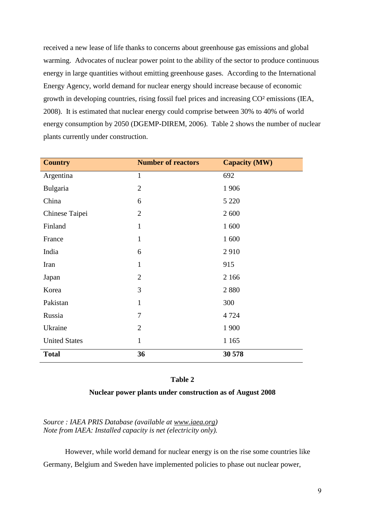received a new lease of life thanks to concerns about greenhouse gas emissions and global warming. Advocates of nuclear power point to the ability of the sector to produce continuous energy in large quantities without emitting greenhouse gases. According to the International Energy Agency, world demand for nuclear energy should increase because of economic growth in developing countries, rising fossil fuel prices and increasing CO² emissions (IEA, 2008). It is estimated that nuclear energy could comprise between 30% to 40% of world energy consumption by 2050 (DGEMP-DIREM, 2006). Table 2 shows the number of nuclear plants currently under construction.

| <b>Country</b>       | <b>Number of reactors</b> | <b>Capacity (MW)</b> |
|----------------------|---------------------------|----------------------|
| Argentina            | 1                         | 692                  |
| Bulgaria             | $\overline{2}$            | 1906                 |
| China                | 6                         | 5 2 2 0              |
| Chinese Taipei       | $\overline{2}$            | 2 600                |
| Finland              | $\mathbf{1}$              | 1 600                |
| France               | $\mathbf{1}$              | 1 600                |
| India                | 6                         | 2910                 |
| Iran                 | $\mathbf{1}$              | 915                  |
| Japan                | $\overline{2}$            | 2 1 6 6              |
| Korea                | 3                         | 2880                 |
| Pakistan             | 1                         | 300                  |
| Russia               | 7                         | 4 7 2 4              |
| Ukraine              | $\overline{2}$            | 1 900                |
| <b>United States</b> | $\mathbf{1}$              | 1 1 6 5              |
| <b>Total</b>         | 36                        | 30 578               |

### **Table 2**

### **Nuclear power plants under construction as of August 2008**

*Source : IAEA PRIS Database (available at [www.iaea.org\)](http://www.iaea.org/) Note from IAEA: Installed capacity is net (electricity only).*

However, while world demand for nuclear energy is on the rise some countries like Germany, Belgium and Sweden have implemented policies to phase out nuclear power,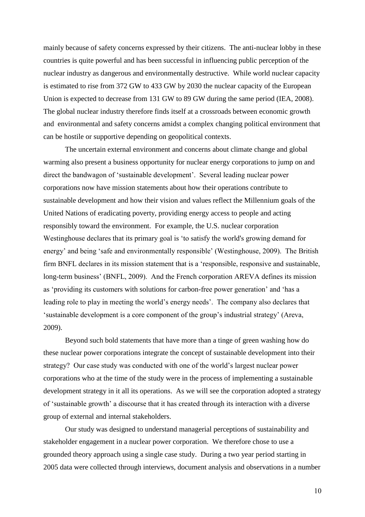mainly because of safety concerns expressed by their citizens. The anti-nuclear lobby in these countries is quite powerful and has been successful in influencing public perception of the nuclear industry as dangerous and environmentally destructive. While world nuclear capacity is estimated to rise from 372 GW to 433 GW by 2030 the nuclear capacity of the European Union is expected to decrease from 131 GW to 89 GW during the same period (IEA, 2008). The global nuclear industry therefore finds itself at a crossroads between economic growth and environmental and safety concerns amidst a complex changing political environment that can be hostile or supportive depending on geopolitical contexts.

The uncertain external environment and concerns about climate change and global warming also present a business opportunity for nuclear energy corporations to jump on and direct the bandwagon of 'sustainable development'. Several leading nuclear power corporations now have mission statements about how their operations contribute to sustainable development and how their vision and values reflect the Millennium goals of the United Nations of eradicating poverty, providing energy access to people and acting responsibly toward the environment. For example, the U.S. nuclear corporation Westinghouse declares that its primary goal is 'to satisfy the world's growing demand for energy' and being 'safe and environmentally responsible' (Westinghouse, 2009). The British firm BNFL declares in its mission statement that is a 'responsible, responsive and sustainable, long-term business' (BNFL, 2009). And the French corporation AREVA defines its mission as 'providing its customers with solutions for carbon-free power generation' and 'has a leading role to play in meeting the world's energy needs'. The company also declares that 'sustainable development is a core component of the group's industrial strategy' (Areva, 2009).

Beyond such bold statements that have more than a tinge of green washing how do these nuclear power corporations integrate the concept of sustainable development into their strategy? Our case study was conducted with one of the world's largest nuclear power corporations who at the time of the study were in the process of implementing a sustainable development strategy in it all its operations. As we will see the corporation adopted a strategy of 'sustainable growth' a discourse that it has created through its interaction with a diverse group of external and internal stakeholders.

Our study was designed to understand managerial perceptions of sustainability and stakeholder engagement in a nuclear power corporation. We therefore chose to use a grounded theory approach using a single case study. During a two year period starting in 2005 data were collected through interviews, document analysis and observations in a number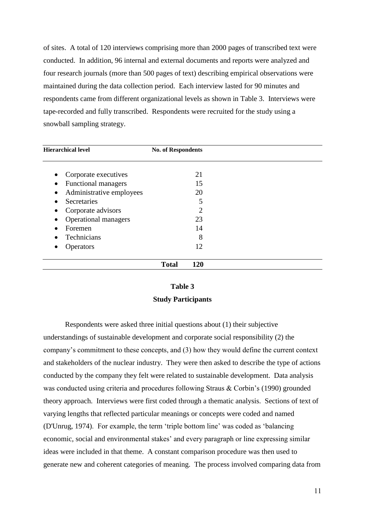of sites. A total of 120 interviews comprising more than 2000 pages of transcribed text were conducted. In addition, 96 internal and external documents and reports were analyzed and four research journals (more than 500 pages of text) describing empirical observations were maintained during the data collection period. Each interview lasted for 90 minutes and respondents came from different organizational levels as shown in Table 3. Interviews were tape-recorded and fully transcribed. Respondents were recruited for the study using a snowball sampling strategy.

| <b>Hierarchical level</b>               | <b>No. of Respondents</b> |  |
|-----------------------------------------|---------------------------|--|
| Corporate executives<br>٠               | 21                        |  |
| <b>Functional managers</b><br>$\bullet$ | 15                        |  |
| Administrative employees                | 20                        |  |
| Secretaries                             | 5                         |  |
| Corporate advisors                      | 2                         |  |
| Operational managers                    | 23                        |  |
| Foremen                                 | 14                        |  |
| Technicians                             | 8                         |  |
| <b>Operators</b>                        | 12                        |  |
|                                         | <b>Total</b><br>120       |  |

### **Table 3 Study Participants**

Respondents were asked three initial questions about (1) their subjective understandings of sustainable development and corporate social responsibility (2) the company's commitment to these concepts, and (3) how they would define the current context and stakeholders of the nuclear industry. They were then asked to describe the type of actions conducted by the company they felt were related to sustainable development. Data analysis was conducted using criteria and procedures following Straus & Corbin's (1990) grounded theory approach. Interviews were first coded through a thematic analysis. Sections of text of varying lengths that reflected particular meanings or concepts were coded and named (D'Unrug, 1974). For example, the term 'triple bottom line' was coded as 'balancing economic, social and environmental stakes' and every paragraph or line expressing similar ideas were included in that theme. A constant comparison procedure was then used to generate new and coherent categories of meaning. The process involved comparing data from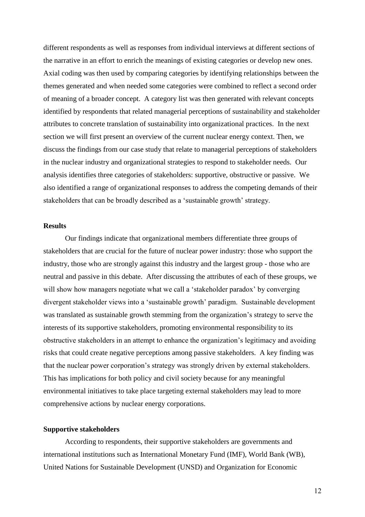different respondents as well as responses from individual interviews at different sections of the narrative in an effort to enrich the meanings of existing categories or develop new ones. Axial coding was then used by comparing categories by identifying relationships between the themes generated and when needed some categories were combined to reflect a second order of meaning of a broader concept. A category list was then generated with relevant concepts identified by respondents that related managerial perceptions of sustainability and stakeholder attributes to concrete translation of sustainability into organizational practices. In the next section we will first present an overview of the current nuclear energy context. Then, we discuss the findings from our case study that relate to managerial perceptions of stakeholders in the nuclear industry and organizational strategies to respond to stakeholder needs. Our analysis identifies three categories of stakeholders: supportive, obstructive or passive. We also identified a range of organizational responses to address the competing demands of their stakeholders that can be broadly described as a 'sustainable growth' strategy.

### **Results**

Our findings indicate that organizational members differentiate three groups of stakeholders that are crucial for the future of nuclear power industry: those who support the industry, those who are strongly against this industry and the largest group - those who are neutral and passive in this debate. After discussing the attributes of each of these groups, we will show how managers negotiate what we call a 'stakeholder paradox' by converging divergent stakeholder views into a 'sustainable growth' paradigm. Sustainable development was translated as sustainable growth stemming from the organization's strategy to serve the interests of its supportive stakeholders, promoting environmental responsibility to its obstructive stakeholders in an attempt to enhance the organization's legitimacy and avoiding risks that could create negative perceptions among passive stakeholders. A key finding was that the nuclear power corporation's strategy was strongly driven by external stakeholders. This has implications for both policy and civil society because for any meaningful environmental initiatives to take place targeting external stakeholders may lead to more comprehensive actions by nuclear energy corporations.

#### **Supportive stakeholders**

According to respondents, their supportive stakeholders are governments and international institutions such as International Monetary Fund (IMF), World Bank (WB), United Nations for Sustainable Development (UNSD) and Organization for Economic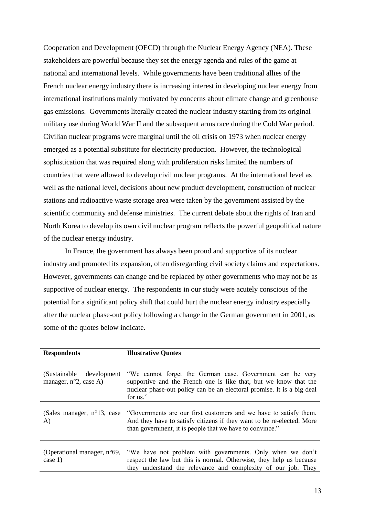Cooperation and Development (OECD) through the Nuclear Energy Agency (NEA). These stakeholders are powerful because they set the energy agenda and rules of the game at national and international levels. While governments have been traditional allies of the French nuclear energy industry there is increasing interest in developing nuclear energy from international institutions mainly motivated by concerns about climate change and greenhouse gas emissions. Governments literally created the nuclear industry starting from its original military use during World War II and the subsequent arms race during the Cold War period. Civilian nuclear programs were marginal until the oil crisis on 1973 when nuclear energy emerged as a potential substitute for electricity production. However, the technological sophistication that was required along with proliferation risks limited the numbers of countries that were allowed to develop civil nuclear programs. At the international level as well as the national level, decisions about new product development, construction of nuclear stations and radioactive waste storage area were taken by the government assisted by the scientific community and defense ministries. The current debate about the rights of Iran and North Korea to develop its own civil nuclear program reflects the powerful geopolitical nature of the nuclear energy industry.

In France, the government has always been proud and supportive of its nuclear industry and promoted its expansion, often disregarding civil society claims and expectations. However, governments can change and be replaced by other governments who may not be as supportive of nuclear energy. The respondents in our study were acutely conscious of the potential for a significant policy shift that could hurt the nuclear energy industry especially after the nuclear phase-out policy following a change in the German government in 2001, as some of the quotes below indicate.

| <b>Respondents</b>                                              | <b>Illustrative Quotes</b>                                                                                                                                                                                          |
|-----------------------------------------------------------------|---------------------------------------------------------------------------------------------------------------------------------------------------------------------------------------------------------------------|
| (Sustainable)<br>development<br>manager, $n^{\circ}2$ , case A) | "We cannot forget the German case. Government can be very<br>supportive and the French one is like that, but we know that the<br>nuclear phase-out policy can be an electoral promise. It is a big deal<br>for us." |
| (Sales manager, $n^{\circ}13$ , case<br>A)                      | "Governments are our first customers and we have to satisfy them.<br>And they have to satisfy citizens if they want to be re-elected. More<br>than government, it is people that we have to convince."              |
| (Operational manager, $n^{\circ}69$ ,<br>case $1)$              | "We have not problem with governments. Only when we don't<br>respect the law but this is normal. Otherwise, they help us because<br>they understand the relevance and complexity of our job. They                   |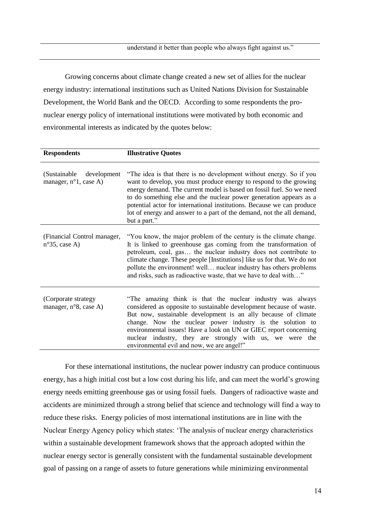Growing concerns about climate change created a new set of allies for the nuclear energy industry: international institutions such as United Nations Division for Sustainable Development, the World Bank and the OECD. According to some respondents the pronuclear energy policy of international institutions were motivated by both economic and environmental interests as indicated by the quotes below:

| <b>Respondents</b>                                              | <b>Illustrative Quotes</b>                                                                                                                                                                                                                                                                                                                                                                                                                                 |
|-----------------------------------------------------------------|------------------------------------------------------------------------------------------------------------------------------------------------------------------------------------------------------------------------------------------------------------------------------------------------------------------------------------------------------------------------------------------------------------------------------------------------------------|
| (Sustainable)<br>development<br>manager, $n^{\circ}1$ , case A) | "The idea is that there is no development without energy. So if you<br>want to develop, you must produce energy to respond to the growing<br>energy demand. The current model is based on fossil fuel. So we need<br>to do something else and the nuclear power generation appears as a<br>potential actor for international institutions. Because we can produce<br>lot of energy and answer to a part of the demand, not the all demand,<br>but a part." |
| (Financial Control manager,<br>$n^{\circ}35$ , case A)          | "You know, the major problem of the century is the climate change.<br>It is linked to greenhouse gas coming from the transformation of<br>petroleum, coal, gas the nuclear industry does not contribute to<br>climate change. These people [Institutions] like us for that. We do not<br>pollute the environment! well nuclear industry has others problems<br>and risks, such as radioactive waste, that we have to deal with"                            |
| (Corporate strategy<br>manager, n°8, case A)                    | "The amazing think is that the nuclear industry was always<br>considered as opposite to sustainable development because of waste.<br>But now, sustainable development is an ally because of climate<br>change. Now the nuclear power industry is the solution to<br>environmental issues! Have a look on UN or GIEC report concerning<br>nuclear industry, they are strongly with us, we were the<br>environmental evil and now, we are angel!"            |

For these international institutions, the nuclear power industry can produce continuous energy, has a high initial cost but a low cost during his life, and can meet the world's growing energy needs emitting greenhouse gas or using fossil fuels. Dangers of radioactive waste and accidents are minimized through a strong belief that science and technology will find a way to reduce these risks. Energy policies of most international institutions are in line with the Nuclear Energy Agency policy which states: 'The analysis of nuclear energy characteristics within a sustainable development framework shows that the approach adopted within the nuclear energy sector is generally consistent with the fundamental sustainable development goal of passing on a range of assets to future generations while minimizing environmental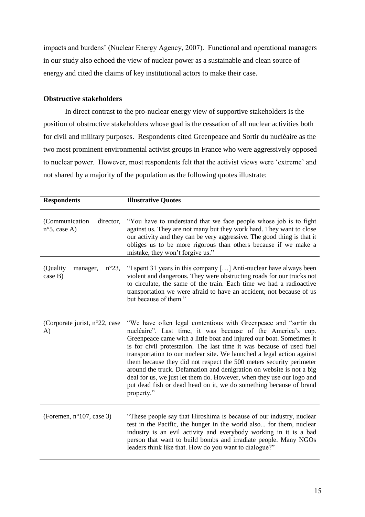impacts and burdens' (Nuclear Energy Agency, 2007). Functional and operational managers in our study also echoed the view of nuclear power as a sustainable and clean source of energy and cited the claims of key institutional actors to make their case.

### **Obstructive stakeholders**

In direct contrast to the pro-nuclear energy view of supportive stakeholders is the position of obstructive stakeholders whose goal is the cessation of all nuclear activities both for civil and military purposes. Respondents cited Greenpeace and Sortir du nucléaire as the two most prominent environmental activist groups in France who were aggressively opposed to nuclear power. However, most respondents felt that the activist views were 'extreme' and not shared by a majority of the population as the following quotes illustrate:

| <b>Respondents</b>                                    | <b>Illustrative Quotes</b>                                                                                                                                                                                                                                                                                                                                                                                                                                                                                                                                                                                                                                            |
|-------------------------------------------------------|-----------------------------------------------------------------------------------------------------------------------------------------------------------------------------------------------------------------------------------------------------------------------------------------------------------------------------------------------------------------------------------------------------------------------------------------------------------------------------------------------------------------------------------------------------------------------------------------------------------------------------------------------------------------------|
| (Communication<br>director,<br>$n^{\circ}5$ , case A) | "You have to understand that we face people whose job is to fight<br>against us. They are not many but they work hard. They want to close<br>our activity and they can be very aggressive. The good thing is that it<br>obliges us to be more rigorous than others because if we make a<br>mistake, they won't forgive us."                                                                                                                                                                                                                                                                                                                                           |
| (Quality<br>$n^{\circ}23$ ,<br>manager,<br>case B)    | "I spent 31 years in this company [] Anti-nuclear have always been<br>violent and dangerous. They were obstructing roads for our trucks not<br>to circulate, the same of the train. Each time we had a radioactive<br>transportation we were afraid to have an accident, not because of us<br>but because of them."                                                                                                                                                                                                                                                                                                                                                   |
| (Corporate jurist, $n^{\circ}22$ , case<br>A)         | "We have often legal contentious with Greenpeace and "sortir du<br>nucléaire". Last time, it was because of the America's cup.<br>Greenpeace came with a little boat and injured our boat. Sometimes it<br>is for civil protestation. The last time it was because of used fuel<br>transportation to our nuclear site. We launched a legal action against<br>them because they did not respect the 500 meters security perimeter<br>around the truck. Defamation and denigration on website is not a big<br>deal for us, we just let them do. However, when they use our logo and<br>put dead fish or dead head on it, we do something because of brand<br>property." |
| (Foremen, $n^{\circ}107$ , case 3)                    | "These people say that Hiroshima is because of our industry, nuclear<br>test in the Pacific, the hunger in the world also for them, nuclear<br>industry is an evil activity and everybody working in it is a bad<br>person that want to build bombs and irradiate people. Many NGOs<br>leaders think like that. How do you want to dialogue?"                                                                                                                                                                                                                                                                                                                         |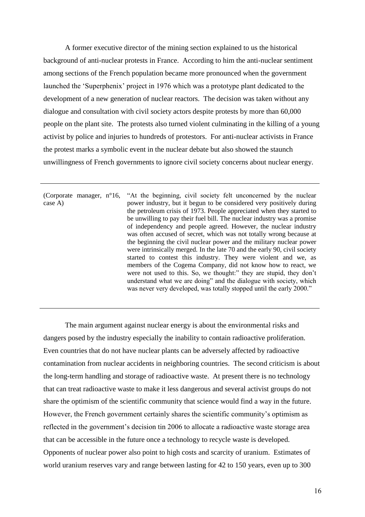A former executive director of the mining section explained to us the historical background of anti-nuclear protests in France. According to him the anti-nuclear sentiment among sections of the French population became more pronounced when the government launched the 'Superphenix' project in 1976 which was a prototype plant dedicated to the development of a new generation of nuclear reactors. The decision was taken without any dialogue and consultation with civil society actors despite protests by more than 60,000 people on the plant site. The protests also turned violent culminating in the killing of a young activist by police and injuries to hundreds of protestors. For anti-nuclear activists in France the protest marks a symbolic event in the nuclear debate but also showed the staunch unwillingness of French governments to ignore civil society concerns about nuclear energy.

(Corporate manager, n°16, case A) "At the beginning, civil society felt unconcerned by the nuclear power industry, but it begun to be considered very positively during the petroleum crisis of 1973. People appreciated when they started to be unwilling to pay their fuel bill. The nuclear industry was a promise of independency and people agreed. However, the nuclear industry was often accused of secret, which was not totally wrong because at the beginning the civil nuclear power and the military nuclear power were intrinsically merged. In the late 70 and the early 90, civil society started to contest this industry. They were violent and we, as members of the Cogema Company, did not know how to react, we were not used to this. So, we thought:" they are stupid, they don't understand what we are doing" and the dialogue with society, which was never very developed, was totally stopped until the early 2000."

The main argument against nuclear energy is about the environmental risks and dangers posed by the industry especially the inability to contain radioactive proliferation. Even countries that do not have nuclear plants can be adversely affected by radioactive contamination from nuclear accidents in neighboring countries. The second criticism is about the long-term handling and storage of radioactive waste. At present there is no technology that can treat radioactive waste to make it less dangerous and several activist groups do not share the optimism of the scientific community that science would find a way in the future. However, the French government certainly shares the scientific community's optimism as reflected in the government's decision tin 2006 to allocate a radioactive waste storage area that can be accessible in the future once a technology to recycle waste is developed. Opponents of nuclear power also point to high costs and scarcity of uranium. Estimates of world uranium reserves vary and range between lasting for 42 to 150 years, even up to 300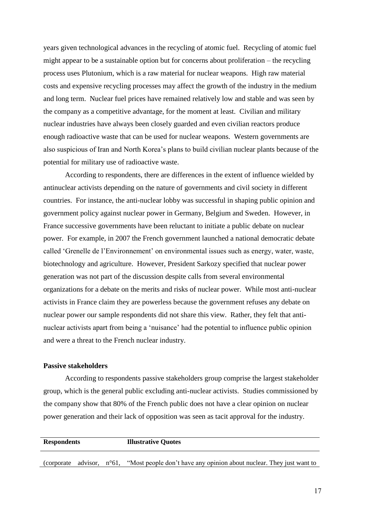years given technological advances in the recycling of atomic fuel. Recycling of atomic fuel might appear to be a sustainable option but for concerns about proliferation – the recycling process uses Plutonium, which is a raw material for nuclear weapons. High raw material costs and expensive recycling processes may affect the growth of the industry in the medium and long term. Nuclear fuel prices have remained relatively low and stable and was seen by the company as a competitive advantage, for the moment at least. Civilian and military nuclear industries have always been closely guarded and even civilian reactors produce enough radioactive waste that can be used for nuclear weapons.Western governments are also suspicious of Iran and North Korea's plans to build civilian nuclear plants because of the potential for military use of radioactive waste.

According to respondents, there are differences in the extent of influence wielded by antinuclear activists depending on the nature of governments and civil society in different countries. For instance, the anti-nuclear lobby was successful in shaping public opinion and government policy against nuclear power in Germany, Belgium and Sweden. However, in France successive governments have been reluctant to initiate a public debate on nuclear power. For example, in 2007 the French government launched a national democratic debate called 'Grenelle de l'Environnement' on environmental issues such as energy, water, waste, biotechnology and agriculture. However, President Sarkozy specified that nuclear power generation was not part of the discussion despite calls from several environmental organizations for a debate on the merits and risks of nuclear power. While most anti-nuclear activists in France claim they are powerless because the government refuses any debate on nuclear power our sample respondents did not share this view. Rather, they felt that antinuclear activists apart from being a 'nuisance' had the potential to influence public opinion and were a threat to the French nuclear industry.

### **Passive stakeholders**

According to respondents passive stakeholders group comprise the largest stakeholder group, which is the general public excluding anti-nuclear activists. Studies commissioned by the company show that 80% of the French public does not have a clear opinion on nuclear power generation and their lack of opposition was seen as tacit approval for the industry.

| <b>Respondents</b> |                          | <b>Illustrative Quotes</b>                                           |  |
|--------------------|--------------------------|----------------------------------------------------------------------|--|
| <i>corporate</i>   | advisor, $n^{\circ}61$ , | "Most people don't have any opinion about nuclear. They just want to |  |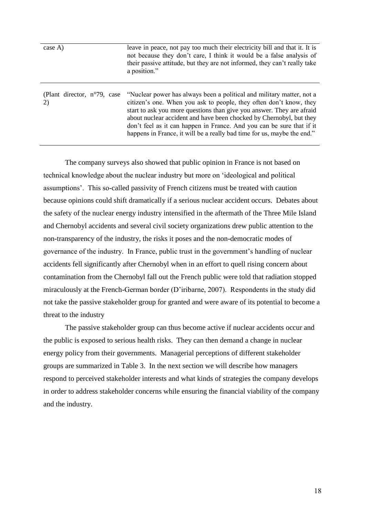| case A)                                     | leave in peace, not pay too much their electricity bill and that it. It is<br>not because they don't care, I think it would be a false analysis of<br>their passive attitude, but they are not informed, they can't really take<br>a position."                                                                                                                                                                                                 |
|---------------------------------------------|-------------------------------------------------------------------------------------------------------------------------------------------------------------------------------------------------------------------------------------------------------------------------------------------------------------------------------------------------------------------------------------------------------------------------------------------------|
| (Plant director, $n^{\circ}79$ , case<br>2) | "Nuclear power has always been a political and military matter, not a<br>citizen's one. When you ask to people, they often don't know, they<br>start to ask you more questions than give you answer. They are afraid<br>about nuclear accident and have been chocked by Chernobyl, but they<br>don't feel as it can happen in France. And you can be sure that if it<br>happens in France, it will be a really bad time for us, maybe the end." |

The company surveys also showed that public opinion in France is not based on technical knowledge about the nuclear industry but more on 'ideological and political assumptions'. This so-called passivity of French citizens must be treated with caution because opinions could shift dramatically if a serious nuclear accident occurs. Debates about the safety of the nuclear energy industry intensified in the aftermath of the Three Mile Island and Chernobyl accidents and several civil society organizations drew public attention to the non-transparency of the industry, the risks it poses and the non-democratic modes of governance of the industry. In France, public trust in the government's handling of nuclear accidents fell significantly after Chernobyl when in an effort to quell rising concern about contamination from the Chernobyl fall out the French public were told that radiation stopped miraculously at the French-German border (D'iribarne, 2007). Respondents in the study did not take the passive stakeholder group for granted and were aware of its potential to become a threat to the industry

The passive stakeholder group can thus become active if nuclear accidents occur and the public is exposed to serious health risks. They can then demand a change in nuclear energy policy from their governments. Managerial perceptions of different stakeholder groups are summarized in Table 3. In the next section we will describe how managers respond to perceived stakeholder interests and what kinds of strategies the company develops in order to address stakeholder concerns while ensuring the financial viability of the company and the industry.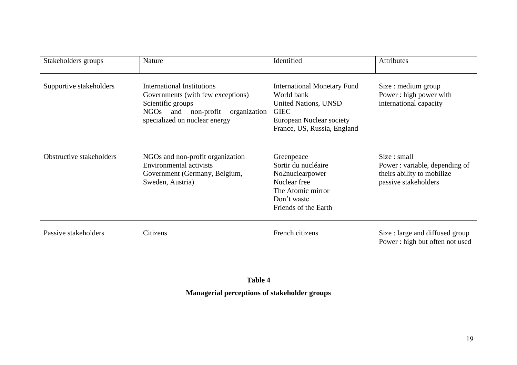| Stakeholders groups      | Nature                                                                                                                                                                    | Identified                                                                                                                                                | Attributes                                                                                          |
|--------------------------|---------------------------------------------------------------------------------------------------------------------------------------------------------------------------|-----------------------------------------------------------------------------------------------------------------------------------------------------------|-----------------------------------------------------------------------------------------------------|
| Supportive stakeholders  | International Institutions<br>Governments (with few exceptions)<br>Scientific groups<br><b>NGOs</b><br>and<br>non-profit<br>organization<br>specialized on nuclear energy | <b>International Monetary Fund</b><br>World bank<br><b>United Nations, UNSD</b><br><b>GIEC</b><br>European Nuclear society<br>France, US, Russia, England | Size: medium group<br>Power: high power with<br>international capacity                              |
| Obstructive stakeholders | NGOs and non-profit organization<br><b>Environmental activists</b><br>Government (Germany, Belgium,<br>Sweden, Austria)                                                   | Greenpeace<br>Sortir du nucléaire<br>No2nuclearpower<br>Nuclear free<br>The Atomic mirror<br>Don't waste<br>Friends of the Earth                          | Size : small<br>Power: variable, depending of<br>theirs ability to mobilize<br>passive stakeholders |
| Passive stakeholders     | Citizens                                                                                                                                                                  | French citizens                                                                                                                                           | Size : large and diffused group<br>Power: high but often not used                                   |

**Table 4**

**Managerial perceptions of stakeholder groups**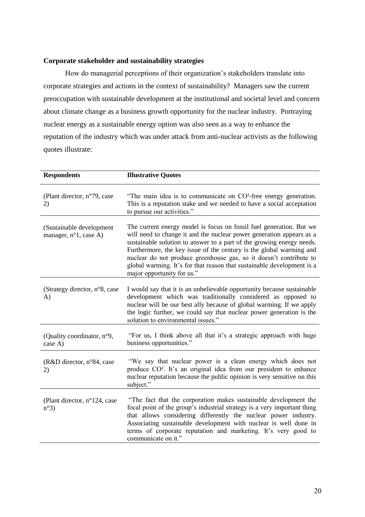### **Corporate stakeholder and sustainability strategies**

How do managerial perceptions of their organization's stakeholders translate into corporate strategies and actions in the context of sustainability? Managers saw the current preoccupation with sustainable development at the institutional and societal level and concern about climate change as a business growth opportunity for the nuclear industry. Portraying nuclear energy as a sustainable energy option was also seen as a way to enhance the reputation of the industry which was under attack from anti-nuclear activists as the following quotes illustrate:

| <b>Respondents</b>                                          | <b>Illustrative Quotes</b>                                                                                                                                                                                                                                                                                                                                                                                                                                                |
|-------------------------------------------------------------|---------------------------------------------------------------------------------------------------------------------------------------------------------------------------------------------------------------------------------------------------------------------------------------------------------------------------------------------------------------------------------------------------------------------------------------------------------------------------|
| (Plant director, n°79, case<br>2)                           | "The main idea is to communicate on $CO2$ -free energy generation.<br>This is a reputation stake and we needed to have a social acceptation<br>to pursue our activities."                                                                                                                                                                                                                                                                                                 |
| (Sustainable development<br>manager, $n^{\circ}1$ , case A) | The current energy model is focus on fossil fuel generation. But we<br>will need to change it and the nuclear power generation appears as a<br>sustainable solution to answer to a part of the growing energy needs.<br>Furthermore, the key issue of the century is the global warming and<br>nuclear do not produce greenhouse gas, so it doesn't contribute to<br>global warming. It's for that reason that sustainable development is a<br>major opportunity for us." |
| (Strategy director, n°8, case<br>A)                         | I would say that it is an unbelievable opportunity because sustainable<br>development which was traditionally considered as opposed to<br>nuclear will be our best ally because of global warming. If we apply<br>the logic further, we could say that nuclear power generation is the<br>solution to environmental issues."                                                                                                                                              |
| (Quality coordinator, n°9,<br>case A)                       | "For us, I think above all that it's a strategic approach with huge<br>business opportunities."                                                                                                                                                                                                                                                                                                                                                                           |
| (R&D director, n°84, case<br>2)                             | "We say that nuclear power is a clean energy which does not<br>produce CO <sup>2</sup> . It's an original idea from our president to enhance<br>nuclear reputation because the public opinion is very sensitive on this<br>subject."                                                                                                                                                                                                                                      |
| (Plant director, n°124, case<br>$n^{\circ}3)$               | "The fact that the corporation makes sustainable development the<br>focal point of the group's industrial strategy is a very important thing<br>that allows considering differently the nuclear power industry.<br>Associating sustainable development with nuclear is well done in<br>terms of corporate reputation and marketing. It's very good to<br>communicate on it."                                                                                              |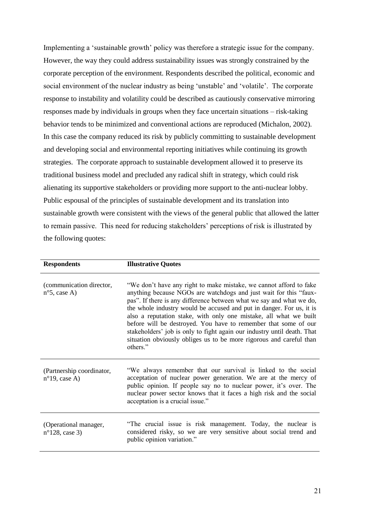Implementing a 'sustainable growth' policy was therefore a strategic issue for the company. However, the way they could address sustainability issues was strongly constrained by the corporate perception of the environment. Respondents described the political, economic and social environment of the nuclear industry as being 'unstable' and 'volatile'. The corporate response to instability and volatility could be described as cautiously conservative mirroring responses made by individuals in groups when they face uncertain situations – risk-taking behavior tends to be minimized and conventional actions are reproduced (Michalon, 2002). In this case the company reduced its risk by publicly committing to sustainable development and developing social and environmental reporting initiatives while continuing its growth strategies. The corporate approach to sustainable development allowed it to preserve its traditional business model and precluded any radical shift in strategy, which could risk alienating its supportive stakeholders or providing more support to the anti-nuclear lobby. Public espousal of the principles of sustainable development and its translation into sustainable growth were consistent with the views of the general public that allowed the latter to remain passive. This need for reducing stakeholders' perceptions of risk is illustrated by the following quotes:

| <b>Respondents</b>                                   | <b>Illustrative Quotes</b>                                                                                                                                                                                                                                                                                                                                                                                                                                                                                                                                                                    |
|------------------------------------------------------|-----------------------------------------------------------------------------------------------------------------------------------------------------------------------------------------------------------------------------------------------------------------------------------------------------------------------------------------------------------------------------------------------------------------------------------------------------------------------------------------------------------------------------------------------------------------------------------------------|
| (communication director,<br>$n^{\circ}$ 5, case A)   | "We don't have any right to make mistake, we cannot afford to fake<br>anything because NGOs are watchdogs and just wait for this "faux-<br>pas". If there is any difference between what we say and what we do,<br>the whole industry would be accused and put in danger. For us, it is<br>also a reputation stake, with only one mistake, all what we built<br>before will be destroyed. You have to remember that some of our<br>stakeholders' job is only to fight again our industry until death. That<br>situation obviously obliges us to be more rigorous and careful than<br>others." |
| (Partnership coordinator,<br>$n^{\circ}19$ , case A) | "We always remember that our survival is linked to the social<br>acceptation of nuclear power generation. We are at the mercy of<br>public opinion. If people say no to nuclear power, it's over. The<br>nuclear power sector knows that it faces a high risk and the social<br>acceptation is a crucial issue."                                                                                                                                                                                                                                                                              |
| (Operational manager,<br>$n^{\circ}$ 128, case 3)    | "The crucial issue is risk management. Today, the nuclear is<br>considered risky, so we are very sensitive about social trend and<br>public opinion variation."                                                                                                                                                                                                                                                                                                                                                                                                                               |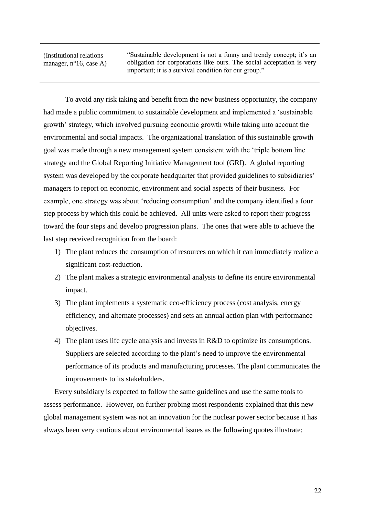(Institutional relations manager, n°16, case A)

"Sustainable development is not a funny and trendy concept; it's an obligation for corporations like ours. The social acceptation is very important; it is a survival condition for our group."

To avoid any risk taking and benefit from the new business opportunity, the company had made a public commitment to sustainable development and implemented a 'sustainable growth' strategy, which involved pursuing economic growth while taking into account the environmental and social impacts. The organizational translation of this sustainable growth goal was made through a new management system consistent with the 'triple bottom line strategy and the Global Reporting Initiative Management tool (GRI). A global reporting system was developed by the corporate headquarter that provided guidelines to subsidiaries' managers to report on economic, environment and social aspects of their business. For example, one strategy was about 'reducing consumption' and the company identified a four step process by which this could be achieved. All units were asked to report their progress toward the four steps and develop progression plans. The ones that were able to achieve the last step received recognition from the board:

- 1) The plant reduces the consumption of resources on which it can immediately realize a significant cost-reduction.
- 2) The plant makes a strategic environmental analysis to define its entire environmental impact.
- 3) The plant implements a systematic eco-efficiency process (cost analysis, energy efficiency, and alternate processes) and sets an annual action plan with performance objectives.
- 4) The plant uses life cycle analysis and invests in R&D to optimize its consumptions. Suppliers are selected according to the plant's need to improve the environmental performance of its products and manufacturing processes. The plant communicates the improvements to its stakeholders.

Every subsidiary is expected to follow the same guidelines and use the same tools to assess performance. However, on further probing most respondents explained that this new global management system was not an innovation for the nuclear power sector because it has always been very cautious about environmental issues as the following quotes illustrate: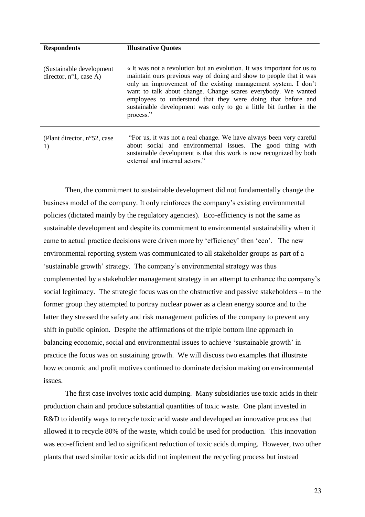| <b>Respondents</b>                                            | <b>Illustrative Quotes</b>                                                                                                                                                                                                                                                                                                                                                                                                         |
|---------------------------------------------------------------|------------------------------------------------------------------------------------------------------------------------------------------------------------------------------------------------------------------------------------------------------------------------------------------------------------------------------------------------------------------------------------------------------------------------------------|
| (Sustainable development)<br>director, $n^{\circ}1$ , case A) | « It was not a revolution but an evolution. It was important for us to<br>maintain ours previous way of doing and show to people that it was<br>only an improvement of the existing management system. I don't<br>want to talk about change. Change scares everybody. We wanted<br>employees to understand that they were doing that before and<br>sustainable development was only to go a little bit further in the<br>process." |
| (Plant director, $n^{\circ}52$ , case<br>1)                   | "For us, it was not a real change. We have always been very careful<br>about social and environmental issues. The good thing with<br>sustainable development is that this work is now recognized by both<br>external and internal actors."                                                                                                                                                                                         |

Then, the commitment to sustainable development did not fundamentally change the business model of the company. It only reinforces the company's existing environmental policies (dictated mainly by the regulatory agencies). Eco-efficiency is not the same as sustainable development and despite its commitment to environmental sustainability when it came to actual practice decisions were driven more by 'efficiency' then 'eco'. The new environmental reporting system was communicated to all stakeholder groups as part of a 'sustainable growth' strategy. The company's environmental strategy was thus complemented by a stakeholder management strategy in an attempt to enhance the company's social legitimacy. The strategic focus was on the obstructive and passive stakeholders – to the former group they attempted to portray nuclear power as a clean energy source and to the latter they stressed the safety and risk management policies of the company to prevent any shift in public opinion. Despite the affirmations of the triple bottom line approach in balancing economic, social and environmental issues to achieve 'sustainable growth' in practice the focus was on sustaining growth. We will discuss two examples that illustrate how economic and profit motives continued to dominate decision making on environmental issues.

The first case involves toxic acid dumping. Many subsidiaries use toxic acids in their production chain and produce substantial quantities of toxic waste. One plant invested in R&D to identify ways to recycle toxic acid waste and developed an innovative process that allowed it to recycle 80% of the waste, which could be used for production. This innovation was eco-efficient and led to significant reduction of toxic acids dumping. However, two other plants that used similar toxic acids did not implement the recycling process but instead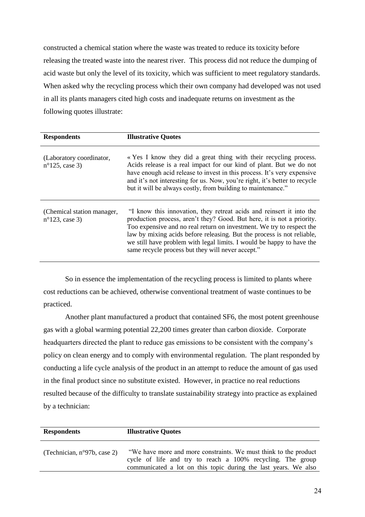constructed a chemical station where the waste was treated to reduce its toxicity before releasing the treated waste into the nearest river. This process did not reduce the dumping of acid waste but only the level of its toxicity, which was sufficient to meet regulatory standards. When asked why the recycling process which their own company had developed was not used in all its plants managers cited high costs and inadequate returns on investment as the following quotes illustrate:

| <b>Respondents</b>                                     | <b>Illustrative Quotes</b>                                                                                                                                                                                                                                                                                                                                                                                                      |
|--------------------------------------------------------|---------------------------------------------------------------------------------------------------------------------------------------------------------------------------------------------------------------------------------------------------------------------------------------------------------------------------------------------------------------------------------------------------------------------------------|
| (Laboratory coordinator,<br>$n^{\circ}$ 125, case 3)   | « Yes I know they did a great thing with their recycling process.<br>Acids release is a real impact for our kind of plant. But we do not<br>have enough acid release to invest in this process. It's very expensive<br>and it's not interesting for us. Now, you're right, it's better to recycle<br>but it will be always costly, from building to maintenance."                                                               |
| (Chemical station manager,<br>$n^{\circ}123$ , case 3) | "I know this innovation, they retreat acids and reinsert it into the<br>production process, aren't they? Good. But here, it is not a priority.<br>Too expensive and no real return on investment. We try to respect the<br>law by mixing acids before releasing. But the process is not reliable,<br>we still have problem with legal limits. I would be happy to have the<br>same recycle process but they will never accept." |

So in essence the implementation of the recycling process is limited to plants where cost reductions can be achieved, otherwise conventional treatment of waste continues to be practiced.

Another plant manufactured a product that contained SF6, the most potent greenhouse gas with a global warming potential 22,200 times greater than carbon dioxide. Corporate headquarters directed the plant to reduce gas emissions to be consistent with the company's policy on clean energy and to comply with environmental regulation. The plant responded by conducting a life cycle analysis of the product in an attempt to reduce the amount of gas used in the final product since no substitute existed. However, in practice no real reductions resulted because of the difficulty to translate sustainability strategy into practice as explained by a technician:

| <b>Respondents</b>                    | <b>Illustrative Quotes</b>                                                                                                                                                                        |
|---------------------------------------|---------------------------------------------------------------------------------------------------------------------------------------------------------------------------------------------------|
| (Technician, $n^{\circ}97b$ , case 2) | "We have more and more constraints. We must think to the product<br>cycle of life and try to reach a 100% recycling. The group<br>communicated a lot on this topic during the last years. We also |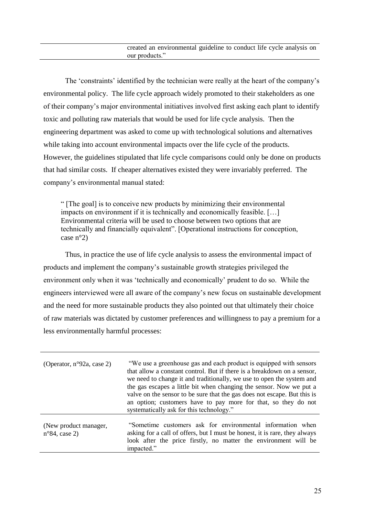The 'constraints' identified by the technician were really at the heart of the company's environmental policy. The life cycle approach widely promoted to their stakeholders as one of their company's major environmental initiatives involved first asking each plant to identify toxic and polluting raw materials that would be used for life cycle analysis. Then the engineering department was asked to come up with technological solutions and alternatives while taking into account environmental impacts over the life cycle of the products. However, the guidelines stipulated that life cycle comparisons could only be done on products that had similar costs. If cheaper alternatives existed they were invariably preferred. The company's environmental manual stated:

" [The goal] is to conceive new products by minimizing their environmental impacts on environment if it is technically and economically feasible. […] Environmental criteria will be used to choose between two options that are technically and financially equivalent". [Operational instructions for conception, case n°2)

Thus, in practice the use of life cycle analysis to assess the environmental impact of products and implement the company's sustainable growth strategies privileged the environment only when it was 'technically and economically' prudent to do so. While the engineers interviewed were all aware of the company's new focus on sustainable development and the need for more sustainable products they also pointed out that ultimately their choice of raw materials was dictated by customer preferences and willingness to pay a premium for a less environmentally harmful processes:

| (Operator, $n^{\circ}92a$ , case 2)              | "We use a greenhouse gas and each product is equipped with sensors<br>that allow a constant control. But if there is a breakdown on a sensor,<br>we need to change it and traditionally, we use to open the system and<br>the gas escapes a little bit when changing the sensor. Now we put a<br>valve on the sensor to be sure that the gas does not escape. But this is<br>an option; customers have to pay more for that, so they do not<br>systematically ask for this technology." |
|--------------------------------------------------|-----------------------------------------------------------------------------------------------------------------------------------------------------------------------------------------------------------------------------------------------------------------------------------------------------------------------------------------------------------------------------------------------------------------------------------------------------------------------------------------|
| (New product manager,<br>$n^{\circ}84$ , case 2) | "Sometime customers ask for environmental information when<br>asking for a call of offers, but I must be honest, it is rare, they always<br>look after the price firstly, no matter the environment will be<br>impacted."                                                                                                                                                                                                                                                               |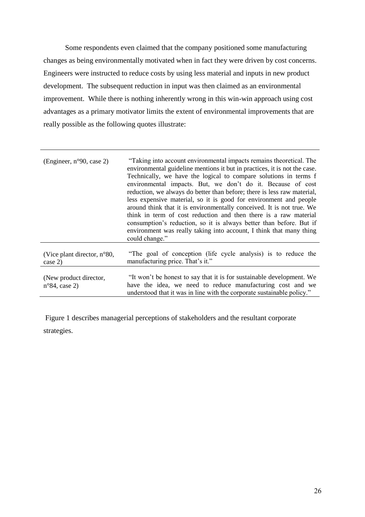Some respondents even claimed that the company positioned some manufacturing changes as being environmentally motivated when in fact they were driven by cost concerns. Engineers were instructed to reduce costs by using less material and inputs in new product development. The subsequent reduction in input was then claimed as an environmental improvement. While there is nothing inherently wrong in this win-win approach using cost advantages as a primary motivator limits the extent of environmental improvements that are really possible as the following quotes illustrate:

| (Engineer, $n°90$ , case 2)                       | "Taking into account environmental impacts remains theoretical. The<br>environmental guideline mentions it but in practices, it is not the case.<br>Technically, we have the logical to compare solutions in terms f<br>environmental impacts. But, we don't do it. Because of cost<br>reduction, we always do better than before; there is less raw material,<br>less expensive material, so it is good for environment and people<br>around think that it is environmentally conceived. It is not true. We<br>think in term of cost reduction and then there is a raw material<br>consumption's reduction, so it is always better than before. But if<br>environment was really taking into account, I think that many thing<br>could change." |
|---------------------------------------------------|--------------------------------------------------------------------------------------------------------------------------------------------------------------------------------------------------------------------------------------------------------------------------------------------------------------------------------------------------------------------------------------------------------------------------------------------------------------------------------------------------------------------------------------------------------------------------------------------------------------------------------------------------------------------------------------------------------------------------------------------------|
| (Vice plant director, $n^{\circ}80$ ,<br>case 2)  | "The goal of conception (life cycle analysis) is to reduce the<br>manufacturing price. That's it."                                                                                                                                                                                                                                                                                                                                                                                                                                                                                                                                                                                                                                               |
| (New product director,<br>$n^{\circ}84$ , case 2) | "It won't be honest to say that it is for sustainable development. We<br>have the idea, we need to reduce manufacturing cost and we<br>understood that it was in line with the corporate sustainable policy."                                                                                                                                                                                                                                                                                                                                                                                                                                                                                                                                    |

Figure 1 describes managerial perceptions of stakeholders and the resultant corporate strategies.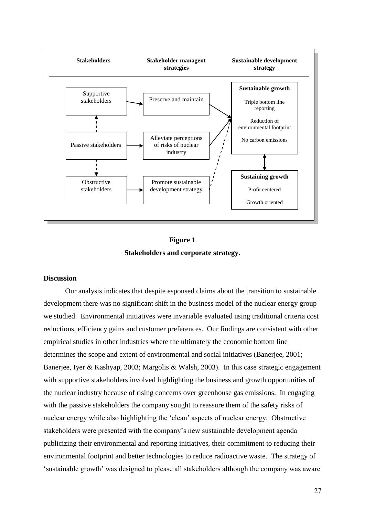

### **Figure 1 Stakeholders and corporate strategy.**

#### **Discussion**

Our analysis indicates that despite espoused claims about the transition to sustainable development there was no significant shift in the business model of the nuclear energy group we studied. Environmental initiatives were invariable evaluated using traditional criteria cost reductions, efficiency gains and customer preferences. Our findings are consistent with other empirical studies in other industries where the ultimately the economic bottom line determines the scope and extent of environmental and social initiatives (Banerjee, 2001; Banerjee, Iyer & Kashyap, 2003; Margolis & Walsh, 2003). In this case strategic engagement with supportive stakeholders involved highlighting the business and growth opportunities of the nuclear industry because of rising concerns over greenhouse gas emissions. In engaging with the passive stakeholders the company sought to reassure them of the safety risks of nuclear energy while also highlighting the 'clean' aspects of nuclear energy. Obstructive stakeholders were presented with the company's new sustainable development agenda publicizing their environmental and reporting initiatives, their commitment to reducing their environmental footprint and better technologies to reduce radioactive waste. The strategy of 'sustainable growth' was designed to please all stakeholders although the company was aware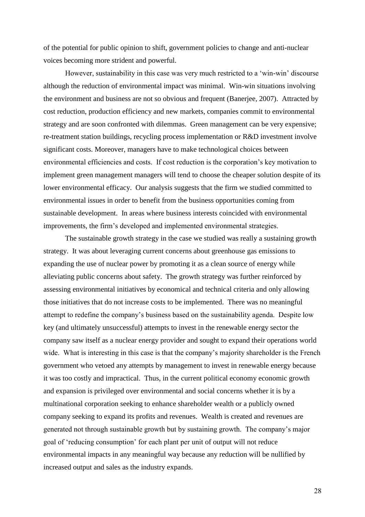of the potential for public opinion to shift, government policies to change and anti-nuclear voices becoming more strident and powerful.

However, sustainability in this case was very much restricted to a 'win-win' discourse although the reduction of environmental impact was minimal. Win-win situations involving the environment and business are not so obvious and frequent (Banerjee, 2007). Attracted by cost reduction, production efficiency and new markets, companies commit to environmental strategy and are soon confronted with dilemmas. Green management can be very expensive; re-treatment station buildings, recycling process implementation or R&D investment involve significant costs. Moreover, managers have to make technological choices between environmental efficiencies and costs. If cost reduction is the corporation's key motivation to implement green management managers will tend to choose the cheaper solution despite of its lower environmental efficacy. Our analysis suggests that the firm we studied committed to environmental issues in order to benefit from the business opportunities coming from sustainable development. In areas where business interests coincided with environmental improvements, the firm's developed and implemented environmental strategies.

The sustainable growth strategy in the case we studied was really a sustaining growth strategy. It was about leveraging current concerns about greenhouse gas emissions to expanding the use of nuclear power by promoting it as a clean source of energy while alleviating public concerns about safety. The growth strategy was further reinforced by assessing environmental initiatives by economical and technical criteria and only allowing those initiatives that do not increase costs to be implemented. There was no meaningful attempt to redefine the company's business based on the sustainability agenda. Despite low key (and ultimately unsuccessful) attempts to invest in the renewable energy sector the company saw itself as a nuclear energy provider and sought to expand their operations world wide. What is interesting in this case is that the company's majority shareholder is the French government who vetoed any attempts by management to invest in renewable energy because it was too costly and impractical. Thus, in the current political economy economic growth and expansion is privileged over environmental and social concerns whether it is by a multinational corporation seeking to enhance shareholder wealth or a publicly owned company seeking to expand its profits and revenues. Wealth is created and revenues are generated not through sustainable growth but by sustaining growth. The company's major goal of 'reducing consumption' for each plant per unit of output will not reduce environmental impacts in any meaningful way because any reduction will be nullified by increased output and sales as the industry expands.

28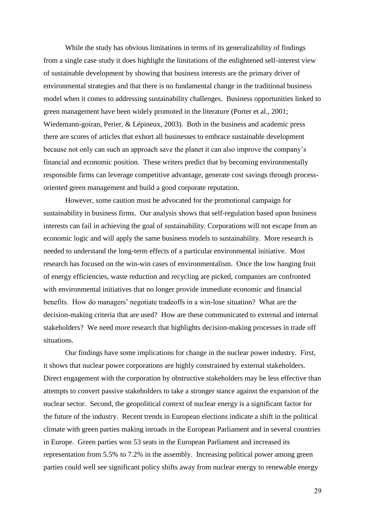While the study has obvious limitations in terms of its generalizability of findings from a single case study it does highlight the limitations of the enlightened self-interest view of sustainable development by showing that business interests are the primary driver of environmental strategies and that there is no fundamental change in the traditional business model when it comes to addressing sustainability challenges. Business opportunities linked to green management have been widely promoted in the literature (Porter et al., 2001; Wiedemann-goiran, Perier, & Lépineux, 2003). Both in the business and academic press there are scores of articles that exhort all businesses to embrace sustainable development because not only can such an approach save the planet it can also improve the company's financial and economic position. These writers predict that by becoming environmentally responsible firms can leverage competitive advantage, generate cost savings through processoriented green management and build a good corporate reputation.

However, some caution must be advocated for the promotional campaign for sustainability in business firms. Our analysis shows that self-regulation based upon business interests can fail in achieving the goal of sustainability. Corporations will not escape from an economic logic and will apply the same business models to sustainability. More research is needed to understand the long-term effects of a particular environmental initiative. Most research has focused on the win-win cases of environmentalism. Once the low hanging fruit of energy efficiencies, waste reduction and recycling are picked, companies are confronted with environmental initiatives that no longer provide immediate economic and financial benefits. How do managers' negotiate tradeoffs in a win-lose situation? What are the decision-making criteria that are used? How are these communicated to external and internal stakeholders? We need more research that highlights decision-making processes in trade off situations.

Our findings have some implications for change in the nuclear power industry. First, it shows that nuclear power corporations are highly constrained by external stakeholders. Direct engagement with the corporation by obstructive stakeholders may be less effective than attempts to convert passive stakeholders to take a stronger stance against the expansion of the nuclear sector. Second, the geopolitical context of nuclear energy is a significant factor for the future of the industry. Recent trends in European elections indicate a shift in the political climate with green parties making inroads in the European Parliament and in several countries in Europe. Green parties won 53 seats in the European Parliament and increased its representation from 5.5% to 7.2% in the assembly. Increasing political power among green parties could well see significant policy shifts away from nuclear energy to renewable energy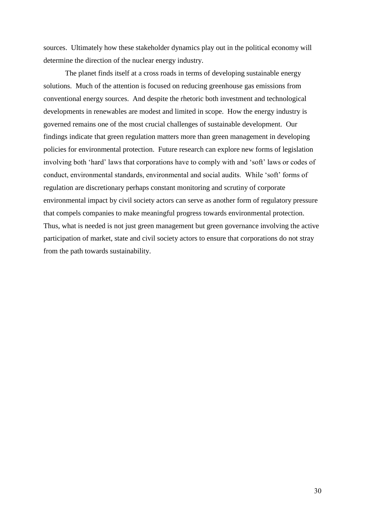sources. Ultimately how these stakeholder dynamics play out in the political economy will determine the direction of the nuclear energy industry.

The planet finds itself at a cross roads in terms of developing sustainable energy solutions. Much of the attention is focused on reducing greenhouse gas emissions from conventional energy sources. And despite the rhetoric both investment and technological developments in renewables are modest and limited in scope. How the energy industry is governed remains one of the most crucial challenges of sustainable development. Our findings indicate that green regulation matters more than green management in developing policies for environmental protection. Future research can explore new forms of legislation involving both 'hard' laws that corporations have to comply with and 'soft' laws or codes of conduct, environmental standards, environmental and social audits. While 'soft' forms of regulation are discretionary perhaps constant monitoring and scrutiny of corporate environmental impact by civil society actors can serve as another form of regulatory pressure that compels companies to make meaningful progress towards environmental protection. Thus, what is needed is not just green management but green governance involving the active participation of market, state and civil society actors to ensure that corporations do not stray from the path towards sustainability.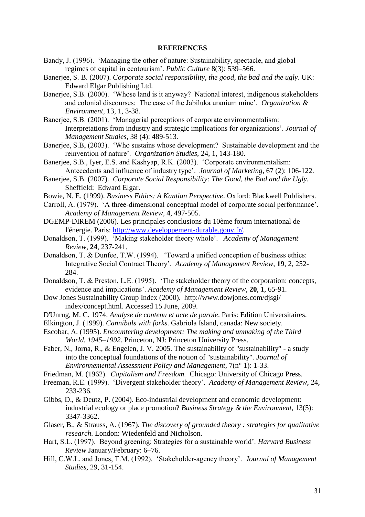### **REFERENCES**

- Bandy, J. (1996). 'Managing the other of nature: Sustainability, spectacle, and global regimes of capital in ecotourism'. *Public Culture* 8(3): 539–566.
- Banerjee, S. B. (2007). *Corporate social responsibility, the good, the bad and the ugly*. UK: Edward Elgar Publishing Ltd.
- Banerjee, S.B. (2000). 'Whose land is it anyway? National interest, indigenous stakeholders and colonial discourses: The case of the Jabiluka uranium mine'. *Organization & Environment,* 13, 1, 3-38.
- Banerjee, S.B. (2001). 'Managerial perceptions of corporate environmentalism: Interpretations from industry and strategic implications for organizations'. *Journal of Management Studies,* 38 (4): 489-513.
- Banerjee, S.B, (2003). 'Who sustains whose development? Sustainable development and the reinvention of nature'. *Organization Studies,* 24, 1, 143-180.
- Banerjee, S.B., Iyer, E.S. and Kashyap, R.K. (2003). 'Corporate environmentalism: Antecedents and influence of industry type'. *Journal of Marketing*, 67 (2): 106-122.
- Banerjee, S.B. (2007). *Corporate Social Responsibility: The Good, the Bad and the Ugly.* Sheffield: Edward Elgar.
- Bowie, N. E. (1999). *Business Ethics: A Kantian Perspective*. Oxford: Blackwell Publishers.
- Carroll, A. (1979). 'A three-dimensional conceptual model of corporate social performance'. *Academy of Management Review*, **4**, 497-505.
- DGEMP-DIREM (2006). Les principales conclusions du 10ème forum international de l'énergie. Paris: [http://www.developpement-durable.gouv.fr/.](http://www.developpement-durable.gouv.fr/)
- Donaldson, T. (1999). 'Making stakeholder theory whole'. *Academy of Management Review*, **24**, 237-241.
- Donaldson, T. & Dunfee, T.W. (1994). 'Toward a unified conception of business ethics: Integrative Social Contract Theory'. *Academy of Management Review*, **19**, 2, 252- 284.
- Donaldson, T. & Preston, L.E. (1995). 'The stakeholder theory of the corporation: concepts, evidence and implications'. *Academy of Management Review,* **20**, 1, 65-91.
- Dow Jones Sustainability Group Index (2000). http://www.dowjones.com/djsgi/ index/concept.html. Accessed 15 June, 2009.
- D'Unrug, M. C. 1974. *Analyse de contenu et acte de parole*. Paris: Edition Universitaires.
- Elkington, J. (1999). *Cannibals with forks*. Gabriola Island, canada: New society.
- Escobar, A. (1995). *Encountering development: The making and unmaking of the Third World, 1945–1992*. Princeton, NJ: Princeton University Press.
- Faber, N., Jorna, R., & Engelen, J. V. 2005. The sustainability of "sustainability" a study into the conceptual foundations of the notion of "sustainability". *Journal of Environnemental Assessment Policy and Management*, 7(n° 1): 1-33.
- Friedman, M. (1962). *Capitalism and Freedom.* Chicago: University of Chicago Press.
- Freeman, R.E. (1999). 'Divergent stakeholder theory'. *Academy of Management Review*, 24, 233-236.
- Gibbs, D., & Deutz, P. (2004). Eco-industrial development and economic development: industrial ecology or place promotion? *Business Strategy & the Environment*, 13(5): 3347-3362.
- Glaser, B., & Strauss, A. (1967). *The discovery of grounded theory : strategies for qualitative research*. London: Wiedenfeld and Nicholson.
- Hart, S.L. (1997). Beyond greening: Strategies for a sustainable world'. *Harvard Business Review* January/February: 6–76.
- Hill, C.W.L. and Jones, T.M. (1992). 'Stakeholder-agency theory'. *Journal of Management Studies,* 29, 31-154.